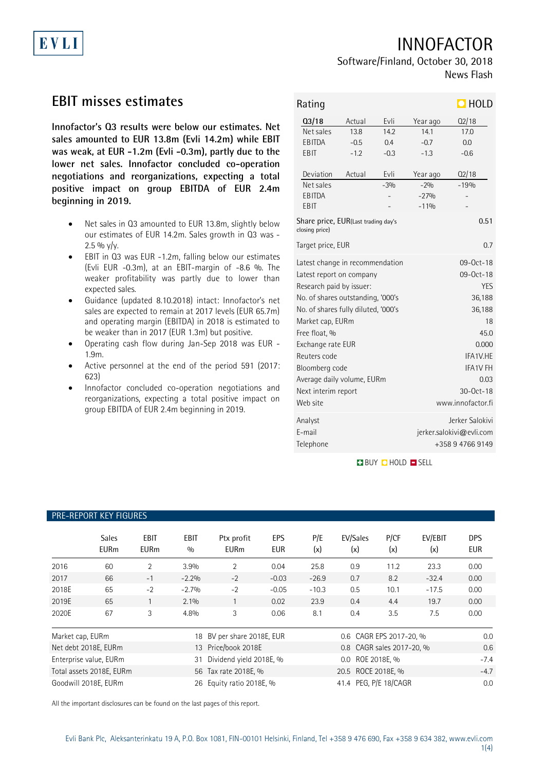# INNOFACTOR

## Software/Finland, October 30, 2018 News Flash

## **EBIT misses estimates**

EVLI

**Innofactor's Q3 results were below our estimates. Net sales amounted to EUR 13.8m (Evli 14.2m) while EBIT was weak, at EUR -1.2m (Evli -0.3m), partly due to the lower net sales. Innofactor concluded co-operation negotiations and reorganizations, expecting a total positive impact on group EBITDA of EUR 2.4m beginning in 2019.**

- Net sales in Q3 amounted to EUR 13.8m, slightly below our estimates of EUR 14.2m. Sales growth in Q3 was -  $2.5\%$  y/y.
- EBIT in Q3 was EUR -1.2m, falling below our estimates (Evli EUR -0.3m), at an EBIT-margin of -8.6 %. The weaker profitability was partly due to lower than expected sales.
- Guidance (updated 8.10.2018) intact: Innofactor's net sales are expected to remain at 2017 levels (EUR 65.7m) and operating margin (EBITDA) in 2018 is estimated to be weaker than in 2017 (EUR 1.3m) but positive.
- Operating cash flow during Jan-Sep 2018 was EUR 1.9m.
- Active personnel at the end of the period 591 (2017: 623)
- Innofactor concluded co-operation negotiations and reorganizations, expecting a total positive impact on group EBITDA of EUR 2.4m beginning in 2019.

| Rating                                                                                                          |                                                                                                                                                                                                                                                                                     |                                                |                                                                                | $\Box$ HOLD                                                                                                                                                                       |  |  |  |
|-----------------------------------------------------------------------------------------------------------------|-------------------------------------------------------------------------------------------------------------------------------------------------------------------------------------------------------------------------------------------------------------------------------------|------------------------------------------------|--------------------------------------------------------------------------------|-----------------------------------------------------------------------------------------------------------------------------------------------------------------------------------|--|--|--|
| $Q_3/18$<br>Net sales<br><b>EBITDA</b><br><b>EBIT</b><br>Deviation<br>Net sales<br><b>EBITDA</b><br><b>EBIT</b> | Actual<br>13.8<br>$-0.5$<br>$-1.2$<br>Actual                                                                                                                                                                                                                                        | Evli<br>14.2<br>0.4<br>$-0.3$<br>Evli<br>$-3%$ | Year ago<br>141<br>$-0.7$<br>$-1.3$<br>Year ago<br>$-2%$<br>$-27%$<br>$-110/0$ | Q2/18<br>17.0<br>0.0<br>$-0.6$<br>Q2/18<br>$-19%$                                                                                                                                 |  |  |  |
| Share price, EUR(Last trading day's<br>closing price)<br>Target price, EUR                                      |                                                                                                                                                                                                                                                                                     |                                                |                                                                                | 0.51<br>0.7                                                                                                                                                                       |  |  |  |
| Free float, %<br>Reuters code<br>Web site                                                                       | Latest change in recommendation<br>Latest report on company<br>Research paid by issuer:<br>No. of shares outstanding, '000's<br>No. of shares fully diluted, '000's<br>Market cap, EURm<br>Exchange rate EUR<br>Bloomberg code<br>Average daily volume, EURm<br>Next interim report |                                                |                                                                                | 09-0ct-18<br>09-0ct-18<br><b>YES</b><br>36,188<br>36,188<br>18<br>45.0<br>0.000<br>IFA <sub>1</sub> V HF<br>IFA <sub>1</sub> V FH<br>0.03<br>$30 - 0ct - 18$<br>www.innofactor.fi |  |  |  |
| Analyst<br>E-mail<br>Telephone                                                                                  |                                                                                                                                                                                                                                                                                     |                                                | Jerker Salokivi<br>jerker.salokivi@evli.com<br>+358947669149                   |                                                                                                                                                                                   |  |  |  |

**BUY QHOLD SELL** 

### PRE-REPORT KEY FIGURES

|                  | <b>Sales</b><br><b>EURm</b> | <b>EBIT</b><br><b>EURm</b> | <b>EBIT</b><br>0/0         | Ptx profit<br><b>EURm</b> | <b>EPS</b><br><b>EUR</b> | P/E<br>(x)              | EV/Sales<br>(x)           | P/CF<br>(x)  | EV/EBIT<br>(x) | <b>DPS</b><br><b>EUR</b> |
|------------------|-----------------------------|----------------------------|----------------------------|---------------------------|--------------------------|-------------------------|---------------------------|--------------|----------------|--------------------------|
| 2016             | 60                          | 2                          | 3.9%                       | 2                         | 0.04                     | 25.8                    | 0.9                       | 11.2         | 23.3           | 0.00                     |
| 2017             | 66                          | $-1$                       | $-2.2%$                    | $-2$                      | $-0.03$                  | $-26.9$                 | 0.7                       | 8.2          | $-32.4$        | 0.00                     |
| 2018E            | 65                          | $-2$                       | $-2.7%$                    | $-2$                      | $-0.05$                  | $-10.3$                 | 0.5                       | 10.1         | $-17.5$        | 0.00                     |
| 2019E            | 65                          |                            | $2.1\%$                    |                           | 0.02                     | 23.9                    | 0.4                       | 4.4          | 19.7           | 0.00                     |
| 2020E            | 67                          | 3                          | 4.8%                       | 3                         | 0.06                     | 8.1                     | 0.4                       | 3.5          | 7.5            | 0.00                     |
| Market cap, EURm |                             |                            | 18 BV per share 2018E, EUR |                           |                          | 0.6 CAGR EPS 2017-20, % |                           |              | 0.0            |                          |
|                  | Net debt 2018E, EURm        |                            |                            | 13 Price/book 2018E       |                          |                         | 0.8 CAGR sales 2017-20, % |              |                | 0.6                      |
|                  | Enterprise value, EURm      |                            | 31                         | Dividend yield 2018E, %   |                          |                         | $0.0\,$                   | ROE 2018E. % |                | $-7.4$                   |
|                  | Total assets 2018E, EURm    |                            |                            | 56 Tax rate 2018E, %      |                          |                         | 20.5 ROCE 2018E. %        |              |                | $-4.7$                   |

Goodwill 2018E, EURm 26 Equity ratio 2018E, % 41.4 PEG, P/E 18/CAGR 0.0

All the important disclosures can be found on the last pages of this report.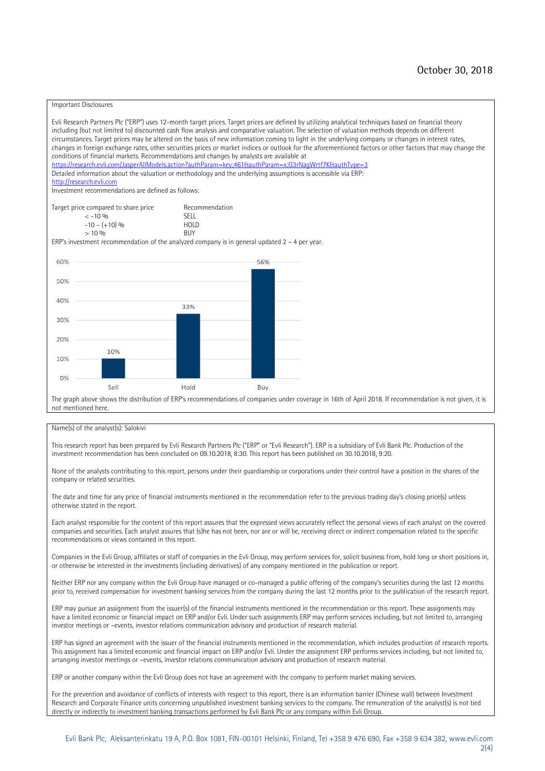#### Important Disclosures

Evli Research Partners Plc ("ERP") uses 12-month target prices. Target prices are defined by utilizing analytical techniques based on financial theory including (but not limited to) discounted cash flow analysis and comparative valuation. The selection of valuation methods depends on different circumstances. Target prices may be altered on the basis of new information coming to light in the underlying company or changes in interest rates, changes in foreign exchange rates, other securities prices or market indices or outlook for the aforementioned factors or other factors that may change the conditions of financial markets. Recommendations and changes by analysts are available at https://research.evli.com/JasperAllModels.action?authParam=key;461&tauthParam=x;G3rNagWrtf7K&tauthType=3 Detailed information about the valuation or methodology and the underlying assumptions is accessible via ERP: [http://research.evli.com](http://research.evli.com/) Investment recommendations are defined as follows: Target price compared to share price Recommendation<br>  $\leq -10\%$  $\langle 5, 10, 10 \rangle$  SELL<br>  $\langle -10, 6, 10 \rangle$  SELL<br>  $\langle 10, 10, 10 \rangle$  $-10 - (+10) \%$  HOL<br>  $> 10 \%$  BUY  $> 10\%$ ERP's investment recommendation of the analyzed company is in general updated  $2 - 4$  per year. 56% 60% 50% 40% 33% 30% 20% 10% 10%  $O%$ Sell Hold Buy

The graph above shows the distribution of ERP's recommendations of companies under coverage in 16th of April 2018. If recommendation is not given, it is not mentioned here.

#### Name(s) of the analyst(s): Salokivi

This research report has been prepared by Evli Research Partners Plc ("ERP" or "Evli Research"). ERP is a subsidiary of Evli Bank Plc. Production of the investment recommendation has been concluded on 09.10.2018, 8:30. This report has been published on 30.10.2018, 9:20.

None of the analysts contributing to this report, persons under their guardianship or corporations under their control have a position in the shares of the company or related securities.

The date and time for any price of financial instruments mentioned in the recommendation refer to the previous trading day's closing price(s) unless otherwise stated in the report.

Each analyst responsible for the content of this report assures that the expressed views accurately reflect the personal views of each analyst on the covered companies and securities. Each analyst assures that (s)he has not been, nor are or will be, receiving direct or indirect compensation related to the specific recommendations or views contained in this report.

Companies in the Evli Group, affiliates or staff of companies in the Evli Group, may perform services for, solicit business from, hold long or short positions in, or otherwise be interested in the investments (including derivatives) of any company mentioned in the publication or report.

Neither ERP nor any company within the Evli Group have managed or co-managed a public offering of the company's securities during the last 12 months prior to, received compensation for investment banking services from the company during the last 12 months prior to the publication of the research report.

ERP may pursue an assignment from the issuer(s) of the financial instruments mentioned in the recommendation or this report. These assignments may have a limited economic or financial impact on ERP and/or Evli. Under such assignments ERP may perform services including, but not limited to, arranging investor meetings or –events, investor relations communication advisory and production of research material.

ERP has signed an agreement with the issuer of the financial instruments mentioned in the recommendation, which includes production of research reports. This assignment has a limited economic and financial impact on ERP and/or Evli. Under the assignment ERP performs services including, but not limited to, arranging investor meetings or –events, investor relations communication advisory and production of research material.

ERP or another company within the Evli Group does not have an agreement with the company to perform market making services.

For the prevention and avoidance of conflicts of interests with respect to this report, there is an information barrier (Chinese wall) between Investment Research and Corporate Finance units concerning unpublished investment banking services to the company. The remuneration of the analyst(s) is not tied directly or indirectly to investment banking transactions performed by Evli Bank Plc or any company within Evli Group.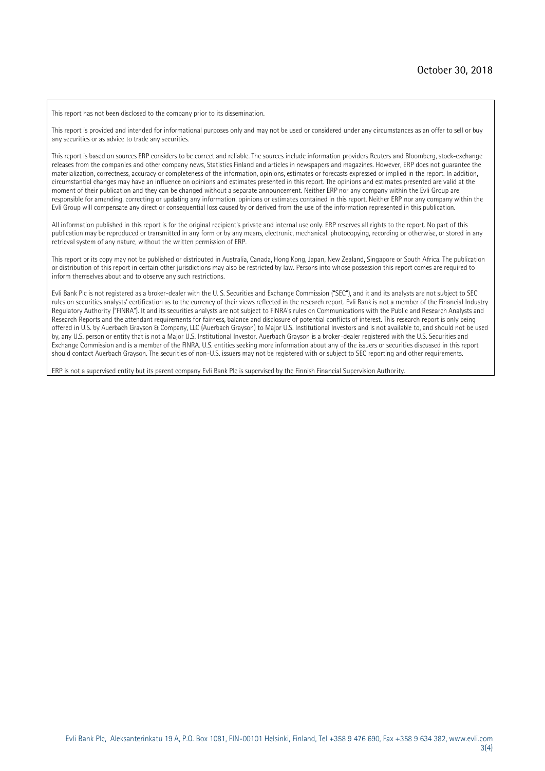This report has not been disclosed to the company prior to its dissemination.

This report is provided and intended for informational purposes only and may not be used or considered under any circumstances as an offer to sell or buy any securities or as advice to trade any securities.

This report is based on sources ERP considers to be correct and reliable. The sources include information providers Reuters and Bloomberg, stock-exchange releases from the companies and other company news, Statistics Finland and articles in newspapers and magazines. However, ERP does not guarantee the materialization, correctness, accuracy or completeness of the information, opinions, estimates or forecasts expressed or implied in the report. In addition, circumstantial changes may have an influence on opinions and estimates presented in this report. The opinions and estimates presented are valid at the moment of their publication and they can be changed without a separate announcement. Neither ERP nor any company within the Evli Group are responsible for amending, correcting or updating any information, opinions or estimates contained in this report. Neither ERP nor any company within the Evli Group will compensate any direct or consequential loss caused by or derived from the use of the information represented in this publication.

All information published in this report is for the original recipient's private and internal use only. ERP reserves all rights to the report. No part of this publication may be reproduced or transmitted in any form or by any means, electronic, mechanical, photocopying, recording or otherwise, or stored in any retrieval system of any nature, without the written permission of ERP.

This report or its copy may not be published or distributed in Australia, Canada, Hong Kong, Japan, New Zealand, Singapore or South Africa. The publication or distribution of this report in certain other jurisdictions may also be restricted by law. Persons into whose possession this report comes are required to inform themselves about and to observe any such restrictions.

Evli Bank Plc is not registered as a broker-dealer with the U. S. Securities and Exchange Commission ("SEC"), and it and its analysts are not subject to SEC rules on securities analysts' certification as to the currency of their views reflected in the research report. Evli Bank is not a member of the Financial Industry Regulatory Authority ("FINRA"). It and its securities analysts are not subject to FINRA's rules on Communications with the Public and Research Analysts and Research Reports and the attendant requirements for fairness, balance and disclosure of potential conflicts of interest. This research report is only being offered in U.S. by Auerbach Grayson & Company, LLC (Auerbach Grayson) to Major U.S. Institutional Investors and is not available to, and should not be used by, any U.S. person or entity that is not a Major U.S. Institutional Investor. Auerbach Grayson is a broker-dealer registered with the U.S. Securities and Exchange Commission and is a member of the FINRA. U.S. entities seeking more information about any of the issuers or securities discussed in this report should contact Auerbach Grayson. The securities of non-U.S. issuers may not be registered with or subject to SEC reporting and other requirements.

ERP is not a supervised entity but its parent company Evli Bank Plc is supervised by the Finnish Financial Supervision Authority.